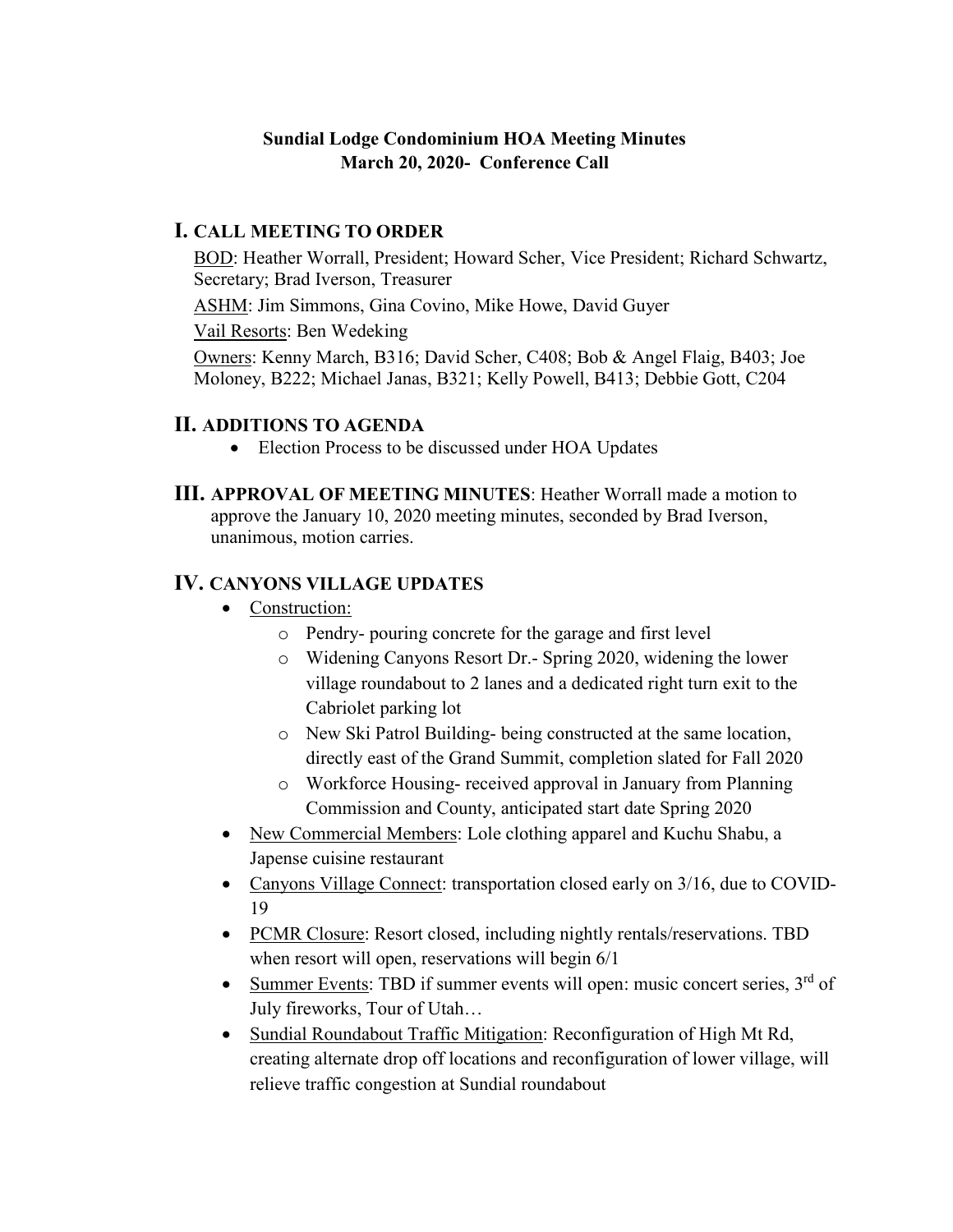## **Sundial Lodge Condominium HOA Meeting Minutes March 20, 2020- Conference Call**

### **I. CALL MEETING TO ORDER**

BOD: Heather Worrall, President; Howard Scher, Vice President; Richard Schwartz, Secretary; Brad Iverson, Treasurer

ASHM: Jim Simmons, Gina Covino, Mike Howe, David Guyer

Vail Resorts: Ben Wedeking

Owners: Kenny March, B316; David Scher, C408; Bob & Angel Flaig, B403; Joe Moloney, B222; Michael Janas, B321; Kelly Powell, B413; Debbie Gott, C204

## **II. ADDITIONS TO AGENDA**

- Election Process to be discussed under HOA Updates
- **III. APPROVAL OF MEETING MINUTES**: Heather Worrall made a motion to approve the January 10, 2020 meeting minutes, seconded by Brad Iverson, unanimous, motion carries.

## **IV. CANYONS VILLAGE UPDATES**

- Construction:
	- o Pendry- pouring concrete for the garage and first level
	- o Widening Canyons Resort Dr.- Spring 2020, widening the lower village roundabout to 2 lanes and a dedicated right turn exit to the Cabriolet parking lot
	- o New Ski Patrol Building- being constructed at the same location, directly east of the Grand Summit, completion slated for Fall 2020
	- o Workforce Housing- received approval in January from Planning Commission and County, anticipated start date Spring 2020
- New Commercial Members: Lole clothing apparel and Kuchu Shabu, a Japense cuisine restaurant
- Canyons Village Connect: transportation closed early on  $3/16$ , due to COVID-19
- PCMR Closure: Resort closed, including nightly rentals/reservations. TBD when resort will open, reservations will begin 6/1
- Summer Events: TBD if summer events will open: music concert series,  $3<sup>rd</sup>$  of July fireworks, Tour of Utah…
- Sundial Roundabout Traffic Mitigation: Reconfiguration of High Mt Rd, creating alternate drop off locations and reconfiguration of lower village, will relieve traffic congestion at Sundial roundabout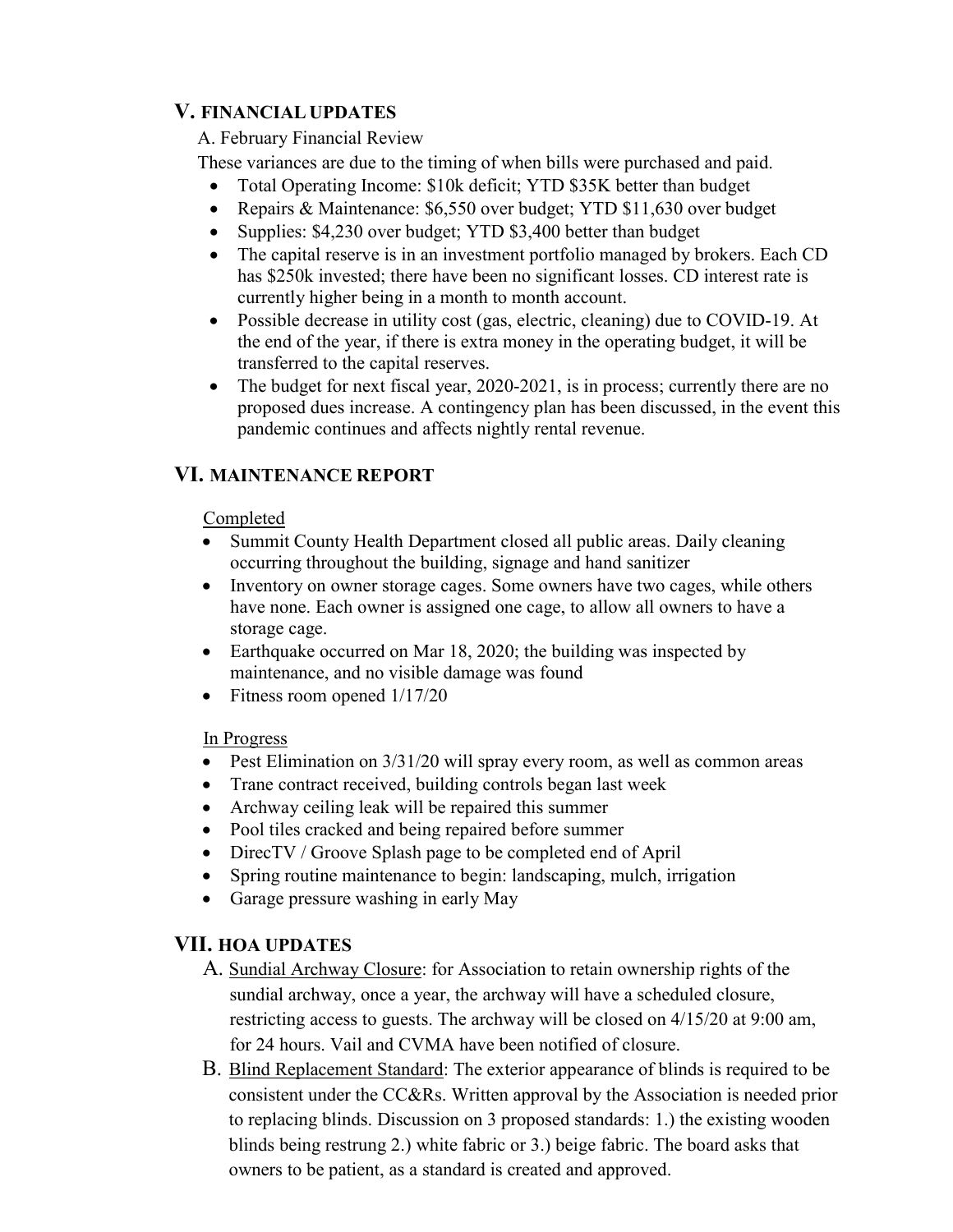## **V. FINANCIAL UPDATES**

A. February Financial Review

These variances are due to the timing of when bills were purchased and paid.

- Total Operating Income: \$10k deficit; YTD \$35K better than budget
- Repairs & Maintenance: \$6,550 over budget; YTD \$11,630 over budget
- Supplies: \$4,230 over budget; YTD \$3,400 better than budget
- The capital reserve is in an investment portfolio managed by brokers. Each CD has \$250k invested; there have been no significant losses. CD interest rate is currently higher being in a month to month account.
- Possible decrease in utility cost (gas, electric, cleaning) due to COVID-19. At the end of the year, if there is extra money in the operating budget, it will be transferred to the capital reserves.
- The budget for next fiscal year, 2020-2021, is in process; currently there are no proposed dues increase. A contingency plan has been discussed, in the event this pandemic continues and affects nightly rental revenue.

# **VI. MAINTENANCE REPORT**

### Completed

- Summit County Health Department closed all public areas. Daily cleaning occurring throughout the building, signage and hand sanitizer
- Inventory on owner storage cages. Some owners have two cages, while others have none. Each owner is assigned one cage, to allow all owners to have a storage cage.
- Earthquake occurred on Mar 18, 2020; the building was inspected by maintenance, and no visible damage was found
- Fitness room opened  $1/17/20$

#### In Progress

- Pest Elimination on 3/31/20 will spray every room, as well as common areas
- Trane contract received, building controls began last week
- Archway ceiling leak will be repaired this summer
- Pool tiles cracked and being repaired before summer
- DirecTV / Groove Splash page to be completed end of April
- Spring routine maintenance to begin: landscaping, mulch, irrigation
- Garage pressure washing in early May

# **VII. HOA UPDATES**

- A. Sundial Archway Closure: for Association to retain ownership rights of the sundial archway, once a year, the archway will have a scheduled closure, restricting access to guests. The archway will be closed on 4/15/20 at 9:00 am, for 24 hours. Vail and CVMA have been notified of closure.
- B. Blind Replacement Standard: The exterior appearance of blinds is required to be consistent under the CC&Rs. Written approval by the Association is needed prior to replacing blinds. Discussion on 3 proposed standards: 1.) the existing wooden blinds being restrung 2.) white fabric or 3.) beige fabric. The board asks that owners to be patient, as a standard is created and approved.